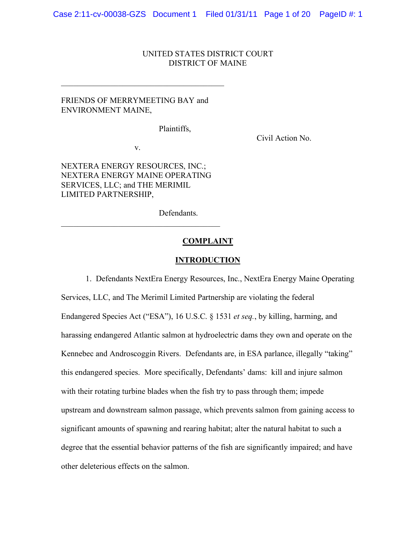#### UNITED STATES DISTRICT COURT DISTRICT OF MAINE

# FRIENDS OF MERRYMEETING BAY and ENVIRONMENT MAINE,

 $\mathcal{L}_\text{max}$ 

Plaintiffs,

Civil Action No.

v.

NEXTERA ENERGY RESOURCES, INC.; NEXTERA ENERGY MAINE OPERATING SERVICES, LLC; and THE MERIMIL LIMITED PARTNERSHIP,

 $\mathcal{L}_\text{max}$  and  $\mathcal{L}_\text{max}$  and  $\mathcal{L}_\text{max}$  and  $\mathcal{L}_\text{max}$ 

Defendants.

#### **COMPLAINT**

#### **INTRODUCTION**

1. Defendants NextEra Energy Resources, Inc., NextEra Energy Maine Operating Services, LLC, and The Merimil Limited Partnership are violating the federal Endangered Species Act ("ESA"), 16 U.S.C. § 1531 *et seq.*, by killing, harming, and harassing endangered Atlantic salmon at hydroelectric dams they own and operate on the Kennebec and Androscoggin Rivers. Defendants are, in ESA parlance, illegally "taking" this endangered species. More specifically, Defendants' dams: kill and injure salmon with their rotating turbine blades when the fish try to pass through them; impede upstream and downstream salmon passage, which prevents salmon from gaining access to significant amounts of spawning and rearing habitat; alter the natural habitat to such a degree that the essential behavior patterns of the fish are significantly impaired; and have other deleterious effects on the salmon.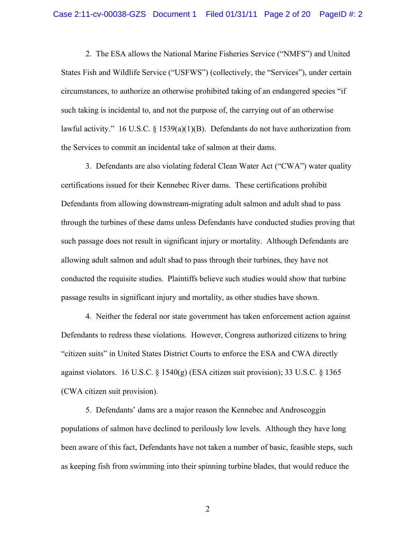2. The ESA allows the National Marine Fisheries Service ("NMFS") and United States Fish and Wildlife Service ("USFWS") (collectively, the "Services"), under certain circumstances, to authorize an otherwise prohibited taking of an endangered species "if such taking is incidental to, and not the purpose of, the carrying out of an otherwise lawful activity." 16 U.S.C. § 1539(a)(1)(B). Defendants do not have authorization from the Services to commit an incidental take of salmon at their dams.

3. Defendants are also violating federal Clean Water Act ("CWA") water quality certifications issued for their Kennebec River dams. These certifications prohibit Defendants from allowing downstream-migrating adult salmon and adult shad to pass through the turbines of these dams unless Defendants have conducted studies proving that such passage does not result in significant injury or mortality. Although Defendants are allowing adult salmon and adult shad to pass through their turbines, they have not conducted the requisite studies. Plaintiffs believe such studies would show that turbine passage results in significant injury and mortality, as other studies have shown.

4. Neither the federal nor state government has taken enforcement action against Defendants to redress these violations. However, Congress authorized citizens to bring "citizen suits" in United States District Courts to enforce the ESA and CWA directly against violators. 16 U.S.C. § 1540(g) (ESA citizen suit provision); 33 U.S.C. § 1365 (CWA citizen suit provision).

5. Defendants' dams are a major reason the Kennebec and Androscoggin populations of salmon have declined to perilously low levels. Although they have long been aware of this fact, Defendants have not taken a number of basic, feasible steps, such as keeping fish from swimming into their spinning turbine blades, that would reduce the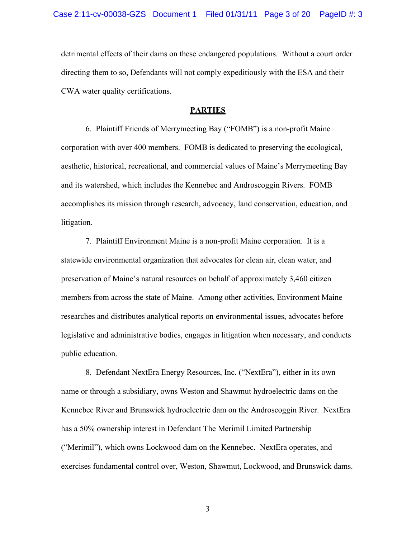detrimental effects of their dams on these endangered populations. Without a court order directing them to so, Defendants will not comply expeditiously with the ESA and their CWA water quality certifications.

#### **PARTIES**

6. Plaintiff Friends of Merrymeeting Bay ("FOMB") is a non-profit Maine corporation with over 400 members. FOMB is dedicated to preserving the ecological, aesthetic, historical, recreational, and commercial values of Maine's Merrymeeting Bay and its watershed, which includes the Kennebec and Androscoggin Rivers. FOMB accomplishes its mission through research, advocacy, land conservation, education, and litigation.

7. Plaintiff Environment Maine is a non-profit Maine corporation. It is a statewide environmental organization that advocates for clean air, clean water, and preservation of Maine's natural resources on behalf of approximately 3,460 citizen members from across the state of Maine. Among other activities, Environment Maine researches and distributes analytical reports on environmental issues, advocates before legislative and administrative bodies, engages in litigation when necessary, and conducts public education.

8. Defendant NextEra Energy Resources, Inc. ("NextEra"), either in its own name or through a subsidiary, owns Weston and Shawmut hydroelectric dams on the Kennebec River and Brunswick hydroelectric dam on the Androscoggin River. NextEra has a 50% ownership interest in Defendant The Merimil Limited Partnership ("Merimil"), which owns Lockwood dam on the Kennebec. NextEra operates, and exercises fundamental control over, Weston, Shawmut, Lockwood, and Brunswick dams.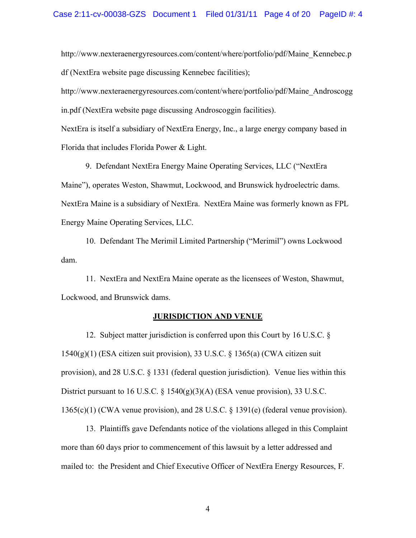http://www.nexteraenergyresources.com/content/where/portfolio/pdf/Maine\_Kennebec.p df (NextEra website page discussing Kennebec facilities);

http://www.nexteraenergyresources.com/content/where/portfolio/pdf/Maine\_Androscogg in.pdf (NextEra website page discussing Androscoggin facilities).

NextEra is itself a subsidiary of NextEra Energy, Inc., a large energy company based in Florida that includes Florida Power & Light.

9. Defendant NextEra Energy Maine Operating Services, LLC ("NextEra Maine"), operates Weston, Shawmut, Lockwood, and Brunswick hydroelectric dams. NextEra Maine is a subsidiary of NextEra. NextEra Maine was formerly known as FPL Energy Maine Operating Services, LLC.

10. Defendant The Merimil Limited Partnership ("Merimil") owns Lockwood dam.

11. NextEra and NextEra Maine operate as the licensees of Weston, Shawmut, Lockwood, and Brunswick dams.

#### **JURISDICTION AND VENUE**

12. Subject matter jurisdiction is conferred upon this Court by 16 U.S.C. § 1540(g)(1) (ESA citizen suit provision), 33 U.S.C. § 1365(a) (CWA citizen suit provision), and 28 U.S.C. § 1331 (federal question jurisdiction). Venue lies within this District pursuant to 16 U.S.C. § 1540(g)(3)(A) (ESA venue provision), 33 U.S.C. 1365(c)(1) (CWA venue provision), and 28 U.S.C. § 1391(e) (federal venue provision).

13. Plaintiffs gave Defendants notice of the violations alleged in this Complaint more than 60 days prior to commencement of this lawsuit by a letter addressed and mailed to: the President and Chief Executive Officer of NextEra Energy Resources, F.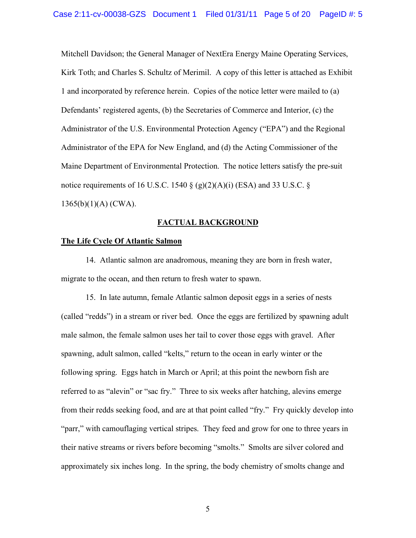Mitchell Davidson; the General Manager of NextEra Energy Maine Operating Services, Kirk Toth; and Charles S. Schultz of Merimil. A copy of this letter is attached as Exhibit 1 and incorporated by reference herein. Copies of the notice letter were mailed to (a) Defendants' registered agents, (b) the Secretaries of Commerce and Interior, (c) the Administrator of the U.S. Environmental Protection Agency ("EPA") and the Regional Administrator of the EPA for New England, and (d) the Acting Commissioner of the Maine Department of Environmental Protection. The notice letters satisfy the pre-suit notice requirements of 16 U.S.C. 1540  $\S$  (g)(2)(A)(i) (ESA) and 33 U.S.C.  $\S$ 1365(b)(1)(A) (CWA).

# **FACTUAL BACKGROUND**

#### **The Life Cycle Of Atlantic Salmon**

14. Atlantic salmon are anadromous, meaning they are born in fresh water, migrate to the ocean, and then return to fresh water to spawn.

15. In late autumn, female Atlantic salmon deposit eggs in a series of nests (called "redds") in a stream or river bed. Once the eggs are fertilized by spawning adult male salmon, the female salmon uses her tail to cover those eggs with gravel. After spawning, adult salmon, called "kelts," return to the ocean in early winter or the following spring. Eggs hatch in March or April; at this point the newborn fish are referred to as "alevin" or "sac fry." Three to six weeks after hatching, alevins emerge from their redds seeking food, and are at that point called "fry." Fry quickly develop into "parr," with camouflaging vertical stripes. They feed and grow for one to three years in their native streams or rivers before becoming "smolts." Smolts are silver colored and approximately six inches long. In the spring, the body chemistry of smolts change and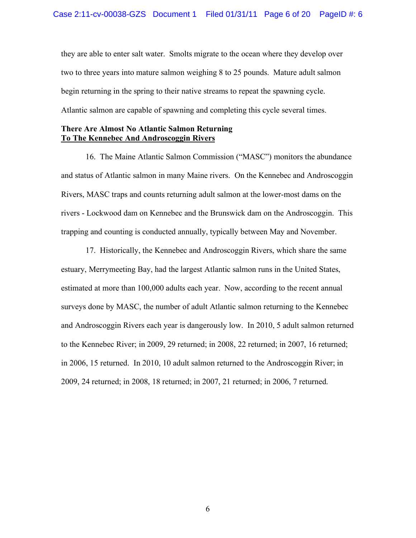they are able to enter salt water. Smolts migrate to the ocean where they develop over two to three years into mature salmon weighing 8 to 25 pounds. Mature adult salmon begin returning in the spring to their native streams to repeat the spawning cycle. Atlantic salmon are capable of spawning and completing this cycle several times.

### **There Are Almost No Atlantic Salmon Returning To The Kennebec And Androscoggin Rivers**

16. The Maine Atlantic Salmon Commission ("MASC") monitors the abundance and status of Atlantic salmon in many Maine rivers. On the Kennebec and Androscoggin Rivers, MASC traps and counts returning adult salmon at the lower-most dams on the rivers - Lockwood dam on Kennebec and the Brunswick dam on the Androscoggin. This trapping and counting is conducted annually, typically between May and November.

17. Historically, the Kennebec and Androscoggin Rivers, which share the same estuary, Merrymeeting Bay, had the largest Atlantic salmon runs in the United States, estimated at more than 100,000 adults each year. Now, according to the recent annual surveys done by MASC, the number of adult Atlantic salmon returning to the Kennebec and Androscoggin Rivers each year is dangerously low. In 2010, 5 adult salmon returned to the Kennebec River; in 2009, 29 returned; in 2008, 22 returned; in 2007, 16 returned; in 2006, 15 returned. In 2010, 10 adult salmon returned to the Androscoggin River; in 2009, 24 returned; in 2008, 18 returned; in 2007, 21 returned; in 2006, 7 returned.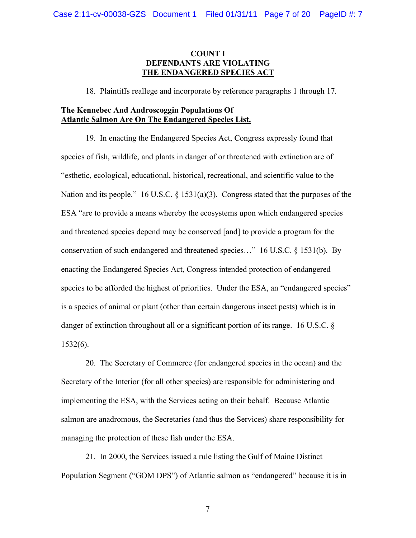# **COUNT I DEFENDANTS ARE VIOLATING THE ENDANGERED SPECIES ACT**

18. Plaintiffs reallege and incorporate by reference paragraphs 1 through 17.

## **The Kennebec And Androscoggin Populations Of Atlantic Salmon Are On The Endangered Species List.**

19. In enacting the Endangered Species Act, Congress expressly found that species of fish, wildlife, and plants in danger of or threatened with extinction are of "esthetic, ecological, educational, historical, recreational, and scientific value to the Nation and its people." 16 U.S.C. § 1531(a)(3). Congress stated that the purposes of the ESA "are to provide a means whereby the ecosystems upon which endangered species and threatened species depend may be conserved [and] to provide a program for the conservation of such endangered and threatened species…" 16 U.S.C. § 1531(b). By enacting the Endangered Species Act, Congress intended protection of endangered species to be afforded the highest of priorities. Under the ESA, an "endangered species" is a species of animal or plant (other than certain dangerous insect pests) which is in danger of extinction throughout all or a significant portion of its range. 16 U.S.C. § 1532(6).

20. The Secretary of Commerce (for endangered species in the ocean) and the Secretary of the Interior (for all other species) are responsible for administering and implementing the ESA, with the Services acting on their behalf. Because Atlantic salmon are anadromous, the Secretaries (and thus the Services) share responsibility for managing the protection of these fish under the ESA.

21. In 2000, the Services issued a rule listing the Gulf of Maine Distinct Population Segment ("GOM DPS") of Atlantic salmon as "endangered" because it is in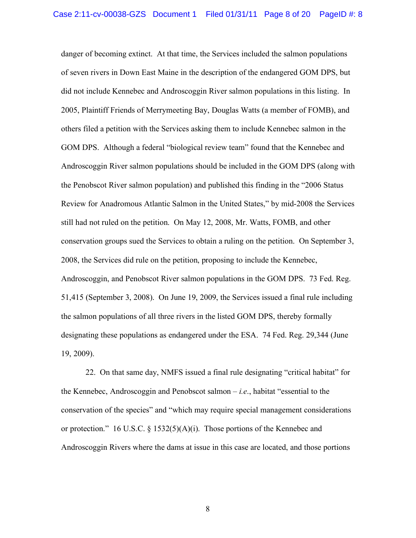danger of becoming extinct. At that time, the Services included the salmon populations of seven rivers in Down East Maine in the description of the endangered GOM DPS, but did not include Kennebec and Androscoggin River salmon populations in this listing. In 2005, Plaintiff Friends of Merrymeeting Bay, Douglas Watts (a member of FOMB), and others filed a petition with the Services asking them to include Kennebec salmon in the GOM DPS. Although a federal "biological review team" found that the Kennebec and Androscoggin River salmon populations should be included in the GOM DPS (along with the Penobscot River salmon population) and published this finding in the "2006 Status Review for Anadromous Atlantic Salmon in the United States," by mid-2008 the Services still had not ruled on the petition. On May 12, 2008, Mr. Watts, FOMB, and other conservation groups sued the Services to obtain a ruling on the petition. On September 3, 2008, the Services did rule on the petition, proposing to include the Kennebec, Androscoggin, and Penobscot River salmon populations in the GOM DPS. 73 Fed. Reg. 51,415 (September 3, 2008). On June 19, 2009, the Services issued a final rule including the salmon populations of all three rivers in the listed GOM DPS, thereby formally designating these populations as endangered under the ESA. 74 Fed. Reg. 29,344 (June 19, 2009).

22. On that same day, NMFS issued a final rule designating "critical habitat" for the Kennebec, Androscoggin and Penobscot salmon – *i.e*., habitat "essential to the conservation of the species" and "which may require special management considerations or protection." 16 U.S.C. § 1532(5)(A)(i). Those portions of the Kennebec and Androscoggin Rivers where the dams at issue in this case are located, and those portions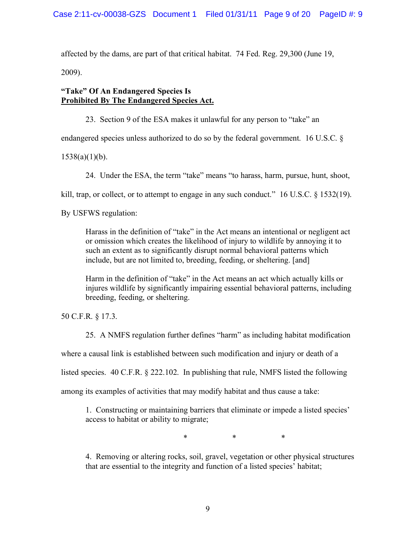affected by the dams, are part of that critical habitat. 74 Fed. Reg. 29,300 (June 19,

2009).

# **"Take" Of An Endangered Species Is Prohibited By The Endangered Species Act.**

23. Section 9 of the ESA makes it unlawful for any person to "take" an

endangered species unless authorized to do so by the federal government. 16 U.S.C. §

 $1538(a)(1)(b)$ .

24. Under the ESA, the term "take" means "to harass, harm, pursue, hunt, shoot,

kill, trap, or collect, or to attempt to engage in any such conduct." 16 U.S.C. § 1532(19).

By USFWS regulation:

Harass in the definition of "take" in the Act means an intentional or negligent act or omission which creates the likelihood of injury to wildlife by annoying it to such an extent as to significantly disrupt normal behavioral patterns which include, but are not limited to, breeding, feeding, or sheltering. [and]

Harm in the definition of "take" in the Act means an act which actually kills or injures wildlife by significantly impairing essential behavioral patterns, including breeding, feeding, or sheltering.

50 C.F.R. § 17.3.

25. A NMFS regulation further defines "harm" as including habitat modification

where a causal link is established between such modification and injury or death of a

listed species. 40 C.F.R. § 222.102. In publishing that rule, NMFS listed the following

among its examples of activities that may modify habitat and thus cause a take:

1. Constructing or maintaining barriers that eliminate or impede a listed species' access to habitat or ability to migrate;

\* \* \*

4. Removing or altering rocks, soil, gravel, vegetation or other physical structures that are essential to the integrity and function of a listed species' habitat;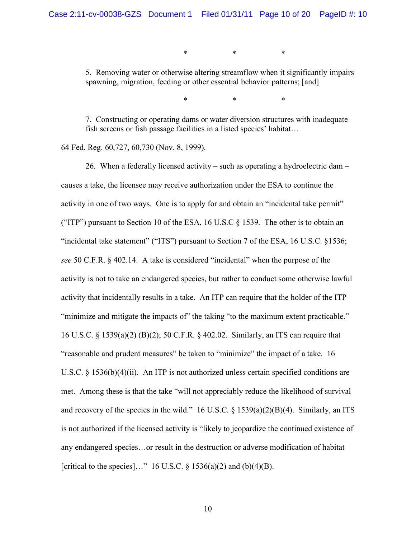\* \* \*

5. Removing water or otherwise altering streamflow when it significantly impairs spawning, migration, feeding or other essential behavior patterns; [and]

\* \* \*

7. Constructing or operating dams or water diversion structures with inadequate fish screens or fish passage facilities in a listed species' habitat…

64 Fed. Reg. 60,727, 60,730 (Nov. 8, 1999).

26. When a federally licensed activity – such as operating a hydroelectric dam – causes a take, the licensee may receive authorization under the ESA to continue the activity in one of two ways. One is to apply for and obtain an "incidental take permit" ("ITP") pursuant to Section 10 of the ESA, 16 U.S.C  $\S$  1539. The other is to obtain an "incidental take statement" ("ITS") pursuant to Section 7 of the ESA, 16 U.S.C. §1536; *see* 50 C.F.R. § 402.14. A take is considered "incidental" when the purpose of the activity is not to take an endangered species, but rather to conduct some otherwise lawful activity that incidentally results in a take. An ITP can require that the holder of the ITP "minimize and mitigate the impacts of" the taking "to the maximum extent practicable." 16 U.S.C. § 1539(a)(2) (B)(2); 50 C.F.R. § 402.02. Similarly, an ITS can require that "reasonable and prudent measures" be taken to "minimize" the impact of a take. 16 U.S.C. § 1536(b)(4)(ii). An ITP is not authorized unless certain specified conditions are met. Among these is that the take "will not appreciably reduce the likelihood of survival and recovery of the species in the wild." 16 U.S.C.  $\S$  1539(a)(2)(B)(4). Similarly, an ITS is not authorized if the licensed activity is "likely to jeopardize the continued existence of any endangered species…or result in the destruction or adverse modification of habitat [critical to the species]..." 16 U.S.C.  $\S$  1536(a)(2) and (b)(4)(B).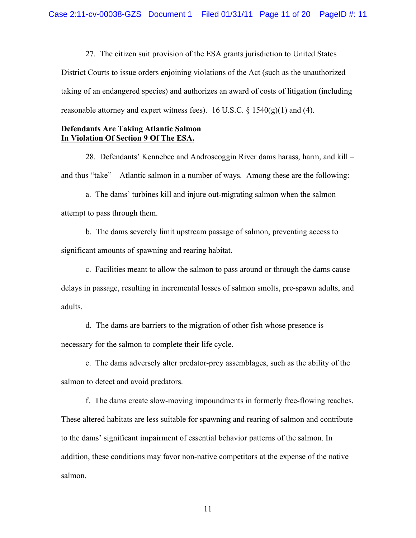27. The citizen suit provision of the ESA grants jurisdiction to United States District Courts to issue orders enjoining violations of the Act (such as the unauthorized taking of an endangered species) and authorizes an award of costs of litigation (including reasonable attorney and expert witness fees). 16 U.S.C.  $\S$  1540(g)(1) and (4).

### **Defendants Are Taking Atlantic Salmon In Violation Of Section 9 Of The ESA.**

28. Defendants' Kennebec and Androscoggin River dams harass, harm, and kill – and thus "take" – Atlantic salmon in a number of ways. Among these are the following:

a. The dams' turbines kill and injure out-migrating salmon when the salmon attempt to pass through them.

b. The dams severely limit upstream passage of salmon, preventing access to significant amounts of spawning and rearing habitat.

c. Facilities meant to allow the salmon to pass around or through the dams cause delays in passage, resulting in incremental losses of salmon smolts, pre-spawn adults, and adults.

d. The dams are barriers to the migration of other fish whose presence is necessary for the salmon to complete their life cycle.

e. The dams adversely alter predator-prey assemblages, such as the ability of the salmon to detect and avoid predators.

f. The dams create slow-moving impoundments in formerly free-flowing reaches. These altered habitats are less suitable for spawning and rearing of salmon and contribute to the dams' significant impairment of essential behavior patterns of the salmon. In addition, these conditions may favor non-native competitors at the expense of the native salmon.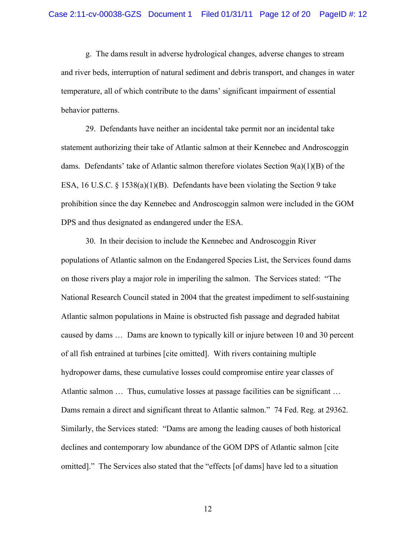g. The dams result in adverse hydrological changes, adverse changes to stream and river beds, interruption of natural sediment and debris transport, and changes in water temperature, all of which contribute to the dams' significant impairment of essential behavior patterns.

29. Defendants have neither an incidental take permit nor an incidental take statement authorizing their take of Atlantic salmon at their Kennebec and Androscoggin dams. Defendants' take of Atlantic salmon therefore violates Section  $9(a)(1)(B)$  of the ESA, 16 U.S.C. § 1538(a)(1)(B). Defendants have been violating the Section 9 take prohibition since the day Kennebec and Androscoggin salmon were included in the GOM DPS and thus designated as endangered under the ESA.

30. In their decision to include the Kennebec and Androscoggin River populations of Atlantic salmon on the Endangered Species List, the Services found dams on those rivers play a major role in imperiling the salmon. The Services stated: "The National Research Council stated in 2004 that the greatest impediment to self-sustaining Atlantic salmon populations in Maine is obstructed fish passage and degraded habitat caused by dams … Dams are known to typically kill or injure between 10 and 30 percent of all fish entrained at turbines [cite omitted]. With rivers containing multiple hydropower dams, these cumulative losses could compromise entire year classes of Atlantic salmon … Thus, cumulative losses at passage facilities can be significant … Dams remain a direct and significant threat to Atlantic salmon." 74 Fed. Reg. at 29362. Similarly, the Services stated: "Dams are among the leading causes of both historical declines and contemporary low abundance of the GOM DPS of Atlantic salmon [cite omitted]." The Services also stated that the "effects [of dams] have led to a situation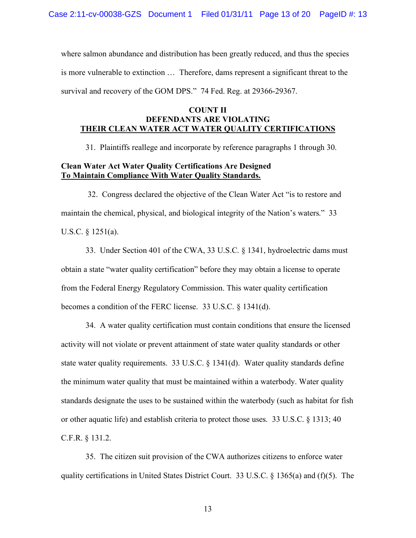where salmon abundance and distribution has been greatly reduced, and thus the species is more vulnerable to extinction … Therefore, dams represent a significant threat to the survival and recovery of the GOM DPS." 74 Fed. Reg. at 29366-29367.

# **COUNT II DEFENDANTS ARE VIOLATING THEIR CLEAN WATER ACT WATER QUALITY CERTIFICATIONS**

31. Plaintiffs reallege and incorporate by reference paragraphs 1 through 30.

# **Clean Water Act Water Quality Certifications Are Designed To Maintain Compliance With Water Quality Standards.**

 32. Congress declared the objective of the Clean Water Act "is to restore and maintain the chemical, physical, and biological integrity of the Nation's waters." 33 U.S.C. § 1251(a).

33. Under Section 401 of the CWA, 33 U.S.C. § 1341, hydroelectric dams must obtain a state "water quality certification" before they may obtain a license to operate from the Federal Energy Regulatory Commission. This water quality certification becomes a condition of the FERC license. 33 U.S.C. § 1341(d).

34. A water quality certification must contain conditions that ensure the licensed activity will not violate or prevent attainment of state water quality standards or other state water quality requirements. 33 U.S.C. § 1341(d). Water quality standards define the minimum water quality that must be maintained within a waterbody. Water quality standards designate the uses to be sustained within the waterbody (such as habitat for fish or other aquatic life) and establish criteria to protect those uses. 33 U.S.C. § 1313; 40 C.F.R. § 131.2.

35. The citizen suit provision of the CWA authorizes citizens to enforce water quality certifications in United States District Court. 33 U.S.C.  $\S$  1365(a) and (f)(5). The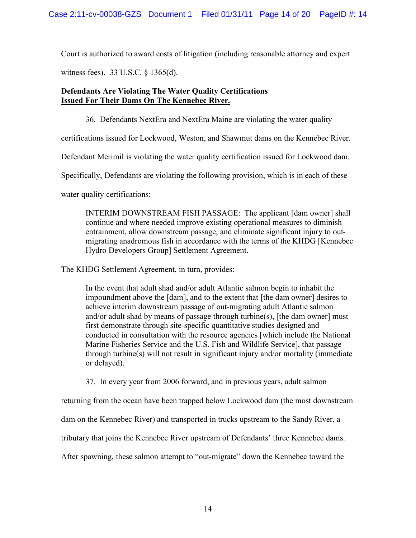Court is authorized to award costs of litigation (including reasonable attorney and expert

witness fees). 33 U.S.C. § 1365(d).

# **Defendants Are Violating The Water Quality Certifications Issued For Their Dams On The Kennebec River.**

36. Defendants NextEra and NextEra Maine are violating the water quality

certifications issued for Lockwood, Weston, and Shawmut dams on the Kennebec River.

Defendant Merimil is violating the water quality certification issued for Lockwood dam.

Specifically, Defendants are violating the following provision, which is in each of these

water quality certifications:

INTERIM DOWNSTREAM FISH PASSAGE: The applicant [dam owner] shall continue and where needed improve existing operational measures to diminish entrainment, allow downstream passage, and eliminate significant injury to outmigrating anadromous fish in accordance with the terms of the KHDG [Kennebec Hydro Developers Group] Settlement Agreement.

The KHDG Settlement Agreement, in turn, provides:

In the event that adult shad and/or adult Atlantic salmon begin to inhabit the impoundment above the [dam], and to the extent that [the dam owner] desires to achieve interim downstream passage of out-migrating adult Atlantic salmon and/or adult shad by means of passage through turbine(s), [the dam owner] must first demonstrate through site-specific quantitative studies designed and conducted in consultation with the resource agencies [which include the National Marine Fisheries Service and the U.S. Fish and Wildlife Service], that passage through turbine(s) will not result in significant injury and/or mortality (immediate or delayed).

37. In every year from 2006 forward, and in previous years, adult salmon

returning from the ocean have been trapped below Lockwood dam (the most downstream

dam on the Kennebec River) and transported in trucks upstream to the Sandy River, a

tributary that joins the Kennebec River upstream of Defendants' three Kennebec dams.

After spawning, these salmon attempt to "out-migrate" down the Kennebec toward the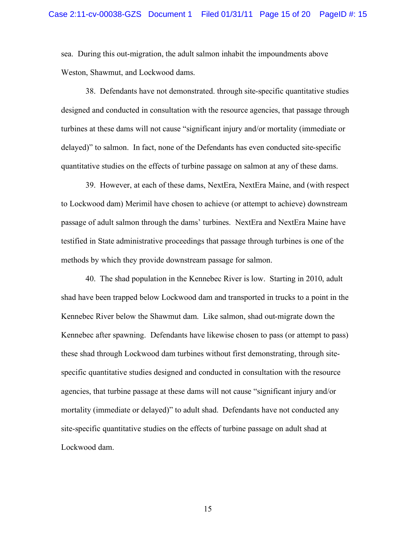sea. During this out-migration, the adult salmon inhabit the impoundments above Weston, Shawmut, and Lockwood dams.

38. Defendants have not demonstrated. through site-specific quantitative studies designed and conducted in consultation with the resource agencies, that passage through turbines at these dams will not cause "significant injury and/or mortality (immediate or delayed)" to salmon. In fact, none of the Defendants has even conducted site-specific quantitative studies on the effects of turbine passage on salmon at any of these dams.

39. However, at each of these dams, NextEra, NextEra Maine, and (with respect to Lockwood dam) Merimil have chosen to achieve (or attempt to achieve) downstream passage of adult salmon through the dams' turbines. NextEra and NextEra Maine have testified in State administrative proceedings that passage through turbines is one of the methods by which they provide downstream passage for salmon.

40. The shad population in the Kennebec River is low. Starting in 2010, adult shad have been trapped below Lockwood dam and transported in trucks to a point in the Kennebec River below the Shawmut dam. Like salmon, shad out-migrate down the Kennebec after spawning. Defendants have likewise chosen to pass (or attempt to pass) these shad through Lockwood dam turbines without first demonstrating, through sitespecific quantitative studies designed and conducted in consultation with the resource agencies, that turbine passage at these dams will not cause "significant injury and/or mortality (immediate or delayed)" to adult shad. Defendants have not conducted any site-specific quantitative studies on the effects of turbine passage on adult shad at Lockwood dam.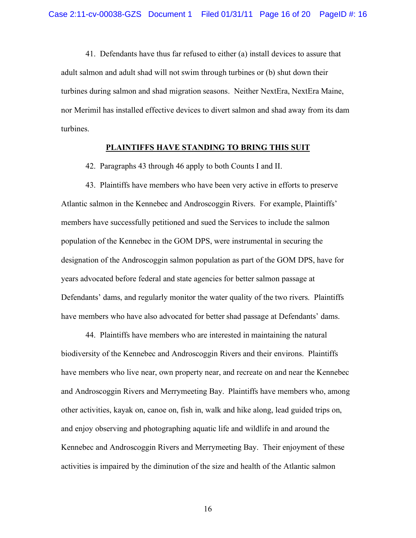41. Defendants have thus far refused to either (a) install devices to assure that adult salmon and adult shad will not swim through turbines or (b) shut down their turbines during salmon and shad migration seasons. Neither NextEra, NextEra Maine, nor Merimil has installed effective devices to divert salmon and shad away from its dam turbines.

### **PLAINTIFFS HAVE STANDING TO BRING THIS SUIT**

42. Paragraphs 43 through 46 apply to both Counts I and II.

43. Plaintiffs have members who have been very active in efforts to preserve Atlantic salmon in the Kennebec and Androscoggin Rivers. For example, Plaintiffs' members have successfully petitioned and sued the Services to include the salmon population of the Kennebec in the GOM DPS, were instrumental in securing the designation of the Androscoggin salmon population as part of the GOM DPS, have for years advocated before federal and state agencies for better salmon passage at Defendants' dams, and regularly monitor the water quality of the two rivers. Plaintiffs have members who have also advocated for better shad passage at Defendants' dams.

44. Plaintiffs have members who are interested in maintaining the natural biodiversity of the Kennebec and Androscoggin Rivers and their environs. Plaintiffs have members who live near, own property near, and recreate on and near the Kennebec and Androscoggin Rivers and Merrymeeting Bay. Plaintiffs have members who, among other activities, kayak on, canoe on, fish in, walk and hike along, lead guided trips on, and enjoy observing and photographing aquatic life and wildlife in and around the Kennebec and Androscoggin Rivers and Merrymeeting Bay. Their enjoyment of these activities is impaired by the diminution of the size and health of the Atlantic salmon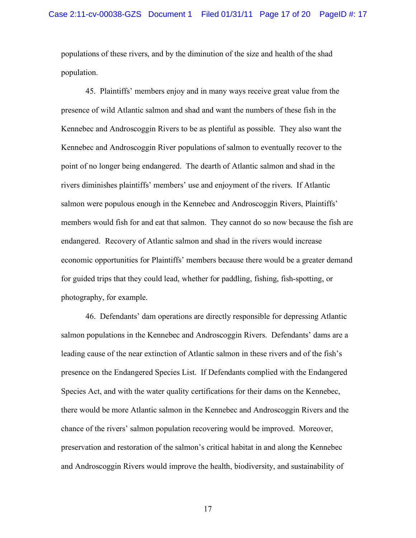populations of these rivers, and by the diminution of the size and health of the shad population.

45. Plaintiffs' members enjoy and in many ways receive great value from the presence of wild Atlantic salmon and shad and want the numbers of these fish in the Kennebec and Androscoggin Rivers to be as plentiful as possible. They also want the Kennebec and Androscoggin River populations of salmon to eventually recover to the point of no longer being endangered. The dearth of Atlantic salmon and shad in the rivers diminishes plaintiffs' members' use and enjoyment of the rivers. If Atlantic salmon were populous enough in the Kennebec and Androscoggin Rivers, Plaintiffs' members would fish for and eat that salmon. They cannot do so now because the fish are endangered. Recovery of Atlantic salmon and shad in the rivers would increase economic opportunities for Plaintiffs' members because there would be a greater demand for guided trips that they could lead, whether for paddling, fishing, fish-spotting, or photography, for example.

46. Defendants' dam operations are directly responsible for depressing Atlantic salmon populations in the Kennebec and Androscoggin Rivers. Defendants' dams are a leading cause of the near extinction of Atlantic salmon in these rivers and of the fish's presence on the Endangered Species List. If Defendants complied with the Endangered Species Act, and with the water quality certifications for their dams on the Kennebec, there would be more Atlantic salmon in the Kennebec and Androscoggin Rivers and the chance of the rivers' salmon population recovering would be improved. Moreover, preservation and restoration of the salmon's critical habitat in and along the Kennebec and Androscoggin Rivers would improve the health, biodiversity, and sustainability of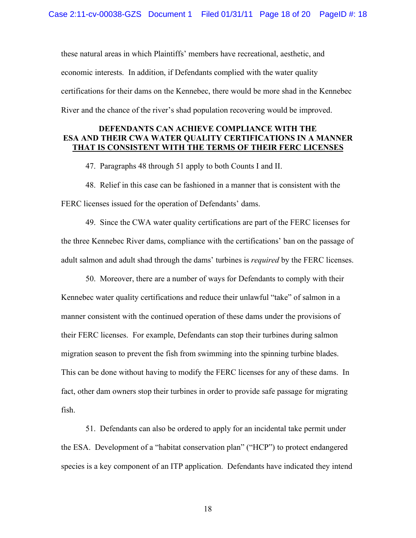these natural areas in which Plaintiffs' members have recreational, aesthetic, and economic interests. In addition, if Defendants complied with the water quality certifications for their dams on the Kennebec, there would be more shad in the Kennebec River and the chance of the river's shad population recovering would be improved.

# **DEFENDANTS CAN ACHIEVE COMPLIANCE WITH THE ESA AND THEIR CWA WATER QUALITY CERTIFICATIONS IN A MANNER THAT IS CONSISTENT WITH THE TERMS OF THEIR FERC LICENSES**

47. Paragraphs 48 through 51 apply to both Counts I and II.

48. Relief in this case can be fashioned in a manner that is consistent with the FERC licenses issued for the operation of Defendants' dams.

49. Since the CWA water quality certifications are part of the FERC licenses for the three Kennebec River dams, compliance with the certifications' ban on the passage of adult salmon and adult shad through the dams' turbines is *required* by the FERC licenses.

50. Moreover, there are a number of ways for Defendants to comply with their Kennebec water quality certifications and reduce their unlawful "take" of salmon in a manner consistent with the continued operation of these dams under the provisions of their FERC licenses. For example, Defendants can stop their turbines during salmon migration season to prevent the fish from swimming into the spinning turbine blades. This can be done without having to modify the FERC licenses for any of these dams. In fact, other dam owners stop their turbines in order to provide safe passage for migrating fish.

51. Defendants can also be ordered to apply for an incidental take permit under the ESA. Development of a "habitat conservation plan" ("HCP") to protect endangered species is a key component of an ITP application. Defendants have indicated they intend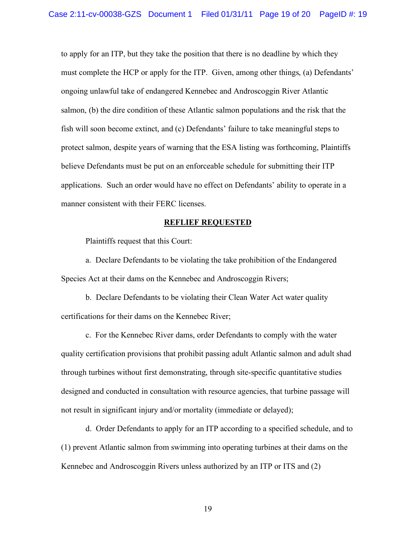to apply for an ITP, but they take the position that there is no deadline by which they must complete the HCP or apply for the ITP. Given, among other things, (a) Defendants' ongoing unlawful take of endangered Kennebec and Androscoggin River Atlantic salmon, (b) the dire condition of these Atlantic salmon populations and the risk that the fish will soon become extinct, and (c) Defendants' failure to take meaningful steps to protect salmon, despite years of warning that the ESA listing was forthcoming, Plaintiffs believe Defendants must be put on an enforceable schedule for submitting their ITP applications. Such an order would have no effect on Defendants' ability to operate in a manner consistent with their FERC licenses.

#### **REFLIEF REQUESTED**

Plaintiffs request that this Court:

a. Declare Defendants to be violating the take prohibition of the Endangered Species Act at their dams on the Kennebec and Androscoggin Rivers;

b. Declare Defendants to be violating their Clean Water Act water quality certifications for their dams on the Kennebec River;

c. For the Kennebec River dams, order Defendants to comply with the water quality certification provisions that prohibit passing adult Atlantic salmon and adult shad through turbines without first demonstrating, through site-specific quantitative studies designed and conducted in consultation with resource agencies, that turbine passage will not result in significant injury and/or mortality (immediate or delayed);

d. Order Defendants to apply for an ITP according to a specified schedule, and to (1) prevent Atlantic salmon from swimming into operating turbines at their dams on the Kennebec and Androscoggin Rivers unless authorized by an ITP or ITS and (2)